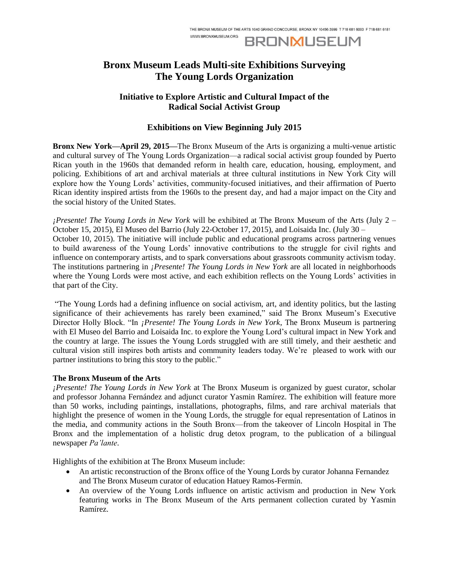**BRONMUSEUM** 

# **Bronx Museum Leads Multi-site Exhibitions Surveying The Young Lords Organization**

WWW.RRONXMUSEUM.ORG

## **Initiative to Explore Artistic and Cultural Impact of the Radical Social Activist Group**

## **Exhibitions on View Beginning July 2015**

**Bronx New York—April 29, 2015—**The Bronx Museum of the Arts is organizing a multi-venue artistic and cultural survey of The Young Lords Organization—a radical social activist group founded by Puerto Rican youth in the 1960s that demanded reform in health care, education, housing, employment, and policing. Exhibitions of art and archival materials at three cultural institutions in New York City will explore how the Young Lords' activities, community-focused initiatives, and their affirmation of Puerto Rican identity inspired artists from the 1960s to the present day, and had a major impact on the City and the social history of the United States.

*¡Presente! The Young Lords in New York* will be exhibited at The Bronx Museum of the Arts (July 2 – October 15, 2015), El Museo del Barrio (July 22-October 17, 2015), and Loisaida Inc. (July 30 – October 10, 2015). The initiative will include public and educational programs across partnering venues to build awareness of the Young Lords' innovative contributions to the struggle for civil rights and influence on contemporary artists, and to spark conversations about grassroots community activism today. The institutions partnering in *¡Presente! The Young Lords in New York* are all located in neighborhoods where the Young Lords were most active, and each exhibition reflects on the Young Lords' activities in that part of the City.

"The Young Lords had a defining influence on social activism, art, and identity politics, but the lasting significance of their achievements has rarely been examined," said The Bronx Museum's Executive Director Holly Block. "In *¡Presente! The Young Lords in New York*, The Bronx Museum is partnering with El Museo del Barrio and Loisaida Inc. to explore the Young Lord's cultural impact in New York and the country at large. The issues the Young Lords struggled with are still timely, and their aesthetic and cultural vision still inspires both artists and community leaders today. We're pleased to work with our partner institutions to bring this story to the public."

### **The Bronx Museum of the Arts**

*¡Presente! The Young Lords in New York* at The Bronx Museum is organized by guest curator, scholar and professor Johanna Fernández and adjunct curator Yasmin Ramírez. The exhibition will feature more than 50 works, including paintings, installations, photographs, films, and rare archival materials that highlight the presence of women in the Young Lords, the struggle for equal representation of Latinos in the media, and community actions in the South Bronx—from the takeover of Lincoln Hospital in The Bronx and the implementation of a holistic drug detox program, to the publication of a bilingual newspaper *Pa'lante*.

Highlights of the exhibition at The Bronx Museum include:

- An artistic reconstruction of the Bronx office of the Young Lords by curator Johanna Fernandez and The Bronx Museum curator of education Hatuey Ramos-Fermín.
- An overview of the Young Lords influence on artistic activism and production in New York featuring works in The Bronx Museum of the Arts permanent collection curated by Yasmin Ramírez.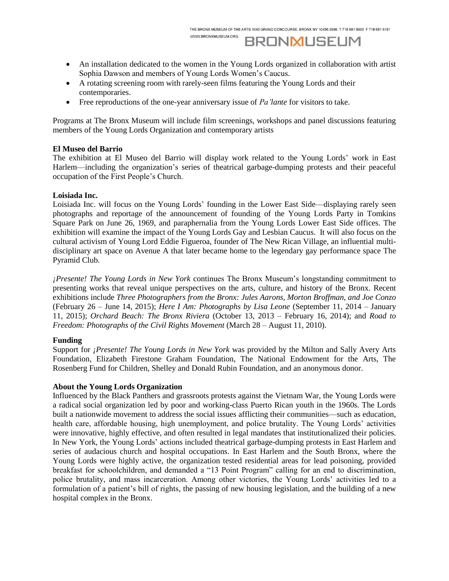# **BRONMUSEUM**

- An installation dedicated to the women in the Young Lords organized in collaboration with artist Sophia Dawson and members of Young Lords Women's Caucus.
- A rotating screening room with rarely-seen films featuring the Young Lords and their contemporaries.

WWW.BRONXMUSEUM.ORG

Free reproductions of the one-year anniversary issue of *Pa'lante* for visitors to take.

Programs at The Bronx Museum will include film screenings, workshops and panel discussions featuring members of the Young Lords Organization and contemporary artists

#### **El Museo del Barrio**

The exhibition at El Museo del Barrio will display work related to the Young Lords' work in East Harlem—including the organization's series of theatrical garbage-dumping protests and their peaceful occupation of the First People's Church.

#### **Loisiada Inc.**

Loisiada Inc. will focus on the Young Lords' founding in the Lower East Side—displaying rarely seen photographs and reportage of the announcement of founding of the Young Lords Party in Tomkins Square Park on June 26, 1969, and paraphernalia from the Young Lords Lower East Side offices. The exhibition will examine the impact of the Young Lords Gay and Lesbian Caucus. It will also focus on the cultural activism of Young Lord Eddie Figueroa, founder of The New Rican Village, an influential multidisciplinary art space on Avenue A that later became home to the legendary gay performance space The Pyramid Club.

*¡Presente! The Young Lords in New York* continues The Bronx Museum's longstanding commitment to presenting works that reveal unique perspectives on the arts, culture, and history of the Bronx. Recent exhibitions include *Three Photographers from the Bronx: Jules Aarons, Morton Broffman, and Joe Conzo*  (February 26 – June 14, 2015); *Here I Am: Photographs by Lisa Leone* (September 11, 2014 – January 11, 2015); *Orchard Beach: The Bronx Riviera* (October 13, 2013 – February 16, 2014); and *Road to Freedom: Photographs of the Civil Rights Movement (March 28 – August 11, 2010).* 

### **Funding**

Support for *¡Presente! The Young Lords in New York* was provided by the Milton and Sally Avery Arts Foundation, Elizabeth Firestone Graham Foundation, The National Endowment for the Arts, The Rosenberg Fund for Children, Shelley and Donald Rubin Foundation, and an anonymous donor.

#### **About the Young Lords Organization**

Influenced by the Black Panthers and grassroots protests against the Vietnam War, the Young Lords were a radical social organization led by poor and working-class Puerto Rican youth in the 1960s. The Lords built a nationwide movement to address the social issues afflicting their communities—such as education, health care, affordable housing, high unemployment, and police brutality. The Young Lords' activities were innovative, highly effective, and often resulted in legal mandates that institutionalized their policies. In New York, the Young Lords' actions included theatrical garbage-dumping protests in East Harlem and series of audacious church and hospital occupations. In East Harlem and the South Bronx, where the Young Lords were highly active, the organization tested residential areas for lead poisoning, provided breakfast for schoolchildren, and demanded a "13 Point Program" calling for an end to discrimination, police brutality, and mass incarceration. Among other victories, the Young Lords' activities led to a formulation of a patient's bill of rights, the passing of new housing legislation, and the building of a new hospital complex in the Bronx.